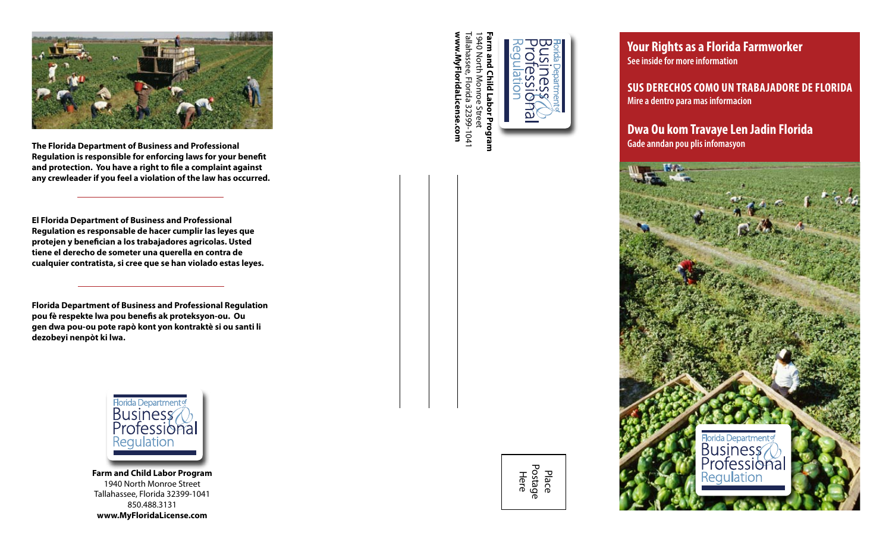

**Regulation is responsible for enforcing laws for your beneft and protection. You have a right to fle a complaint against any crewleader if you feel a violation of the law has occurred.** 

**El Florida Department of Business and Professional Regulation es responsable de hacer cumplir las leyes que protejen y benefcian a los trabajadores agricolas. Usted tiene el derecho de someter una querella en contra de cualquier contratista, si cree que se han violado estas leyes.** 

**Florida Department of Business and Professional Regulation pou fè respekte lwa pou benefs ak proteksyon-ou. Ou gen dwa pou-ou pote rapò kont yon kontraktè si ou santi li dezobeyi nenpòt ki lwa.** 



**Farm and Child Labor Program**  1940 North Monroe Street Tallahassee, Florida 32399-1041 850.488.3131 **www.MyFloridaLicense.com** 

**www.MyFloridaLicense.com**  Tallahassee, Florida 32399-1041 **Farm and Child Labor Program**  1940 North Monroe Street 10 North Monroe Street



**Your Rights as a Florida Farmworker See inside for more information** 

**SuS DeRechoS como un TRabajaDoRe De FloRiDa Mire a dentro para mas informacion** 

**Dwa ou kom Travaye len jadin Florida**